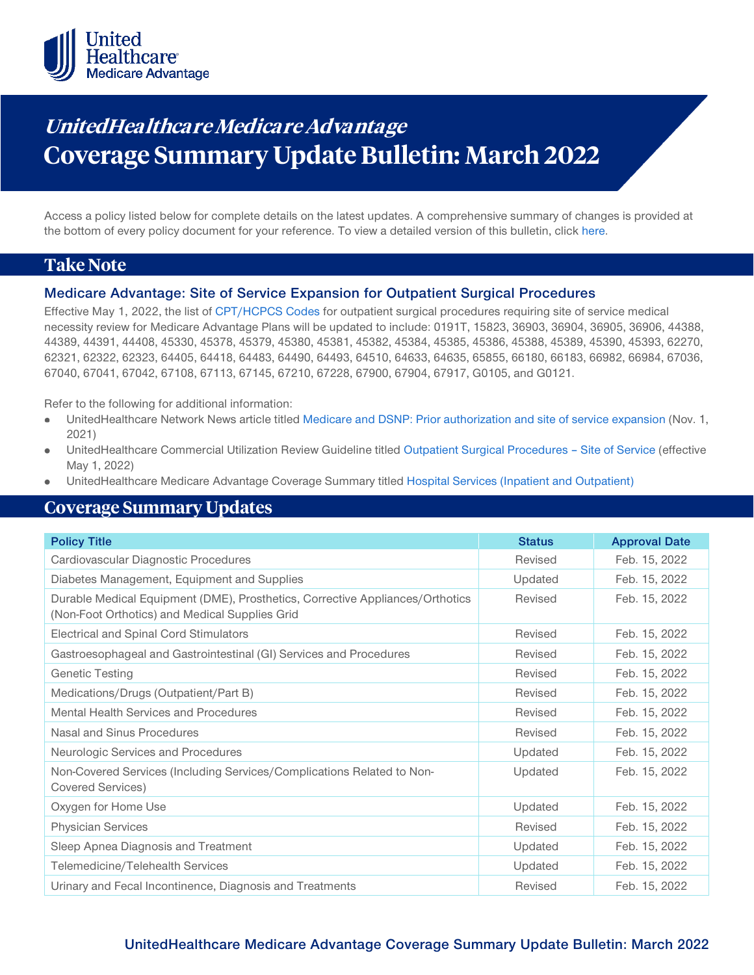

# **UnitedHealthca re Medicare Advantage Coverage Summary Update Bulletin: March 2022**

Access a policy listed below for complete details on the latest updates. A comprehensive summary of changes is provided at the bottom of every policy document for your reference. To view a detailed version of this bulletin, clic[k here.](https://www.uhcprovider.com/content/dam/provider/docs/public/policies/mpub-archives/macs/medicare-advantage-coverage-summary-update-bulletin-march-2022-full.pdf)

# **Take Note**

### **Medicare Advantage: Site of Service Expansion for Outpatient Surgical Procedures**

Effective May 1, 2022, the list of [CPT/HCPCS Codes](https://www.uhcprovider.com/content/dam/provider/docs/public/policies/index/commercial/outpatient-surg-procedures-site-service-cpt-hcpcs-codes-ma-05012022.pdf) for outpatient surgical procedures requiring site of service medical necessity review for Medicare Advantage Plans will be updated to include: 0191T, 15823, 36903, 36904, 36905, 36906, 44388, 44389, 44391, 44408, 45330, 45378, 45379, 45380, 45381, 45382, 45384, 45385, 45386, 45388, 45389, 45390, 45393, 62270, 62321, 62322, 62323, 64405, 64418, 64483, 64490, 64493, 64510, 64633, 64635, 65855, 66180, 66183, 66982, 66984, 67036, 67040, 67041, 67042, 67108, 67113, 67145, 67210, 67228, 67900, 67904, 67917, G0105, and G0121.

Refer to the following for additional information:

- UnitedHealthcare Network News article titled [Medicare and DSNP: Prior authorization and site of service expansion](https://www.uhcprovider.com/en/resource-library/news/2021-network-bulletin-featured-articles/1121-med-adv-prior-auth-sos-update.html) (Nov. 1, 2021)
- UnitedHealthcare Commercial Utilization Review Guideline titled [Outpatient Surgical Procedures –](https://www.uhcprovider.com/content/dam/provider/docs/public/policies/index/commercial/outpatient-surg-procedures-site-service-05012022.pdf) Site of Service (effective May 1, 2022)
- UnitedHealthcare Medicare Advantage Coverage Summary titled [Hospital Services \(Inpatient and Outpatient\)](https://www.uhcprovider.com/content/dam/provider/docs/public/policies/medadv-coverage-sum/hospital-services-inpatient-outpatient.pdf)

# **Coverage Summary Updates**

| <b>Policy Title</b>                                                                                                             | <b>Status</b> | <b>Approval Date</b> |
|---------------------------------------------------------------------------------------------------------------------------------|---------------|----------------------|
| Cardiovascular Diagnostic Procedures                                                                                            | Revised       | Feb. 15, 2022        |
| Diabetes Management, Equipment and Supplies                                                                                     | Updated       | Feb. 15, 2022        |
| Durable Medical Equipment (DME), Prosthetics, Corrective Appliances/Orthotics<br>(Non-Foot Orthotics) and Medical Supplies Grid | Revised       | Feb. 15, 2022        |
| <b>Electrical and Spinal Cord Stimulators</b>                                                                                   | Revised       | Feb. 15, 2022        |
| Gastroesophageal and Gastrointestinal (GI) Services and Procedures                                                              | Revised       | Feb. 15, 2022        |
| <b>Genetic Testing</b>                                                                                                          | Revised       | Feb. 15, 2022        |
| Medications/Drugs (Outpatient/Part B)                                                                                           | Revised       | Feb. 15, 2022        |
| Mental Health Services and Procedures                                                                                           | Revised       | Feb. 15, 2022        |
| Nasal and Sinus Procedures                                                                                                      | Revised       | Feb. 15, 2022        |
| Neurologic Services and Procedures                                                                                              | Updated       | Feb. 15, 2022        |
| Non-Covered Services (Including Services/Complications Related to Non-<br>Covered Services)                                     | Updated       | Feb. 15, 2022        |
| Oxygen for Home Use                                                                                                             | Updated       | Feb. 15, 2022        |
| <b>Physician Services</b>                                                                                                       | Revised       | Feb. 15, 2022        |
| Sleep Apnea Diagnosis and Treatment                                                                                             | Updated       | Feb. 15, 2022        |
| Telemedicine/Telehealth Services                                                                                                | Updated       | Feb. 15, 2022        |
| Urinary and Fecal Incontinence, Diagnosis and Treatments                                                                        | Revised       | Feb. 15, 2022        |

# **UnitedHealthcare Medicare Advantage Coverage Summary Update Bulletin: March 2022**